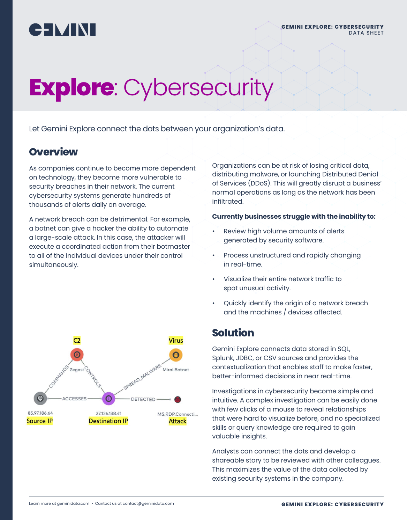

# **Explore**: Cybersecurity

Let Gemini Explore connect the dots between your organization's data.

# **Overview**

As companies continue to become more dependent on technology, they become more vulnerable to security breaches in their network. The current cybersecurity systems generate hundreds of thousands of alerts daily on average.

A network breach can be detrimental. For example, a botnet can give a hacker the ability to automate a large-scale attack. In this case, the attacker will execute a coordinated action from their botmaster to all of the individual devices under their control simultaneously.

Organizations can be at risk of losing critical data, distributing malware, or launching Distributed Denial of Services (DDoS). This will greatly disrupt a business' normal operations as long as the network has been infiltrated.

#### **Currently businesses struggle with the inability to:**

- Review high volume amounts of alerts generated by security software.
- Process unstructured and rapidly changing in real-time.
- Visualize their entire network traffic to spot unusual activity.
- Quickly identify the origin of a network breach and the machines / devices affected.

### **Solution**

Gemini Explore connects data stored in SQL, Splunk, JDBC, or CSV sources and provides the contextualization that enables staff to make faster, better-informed decisions in near real-time.

Investigations in cybersecurity become simple and intuitive. A complex investigation can be easily done with few clicks of a mouse to reveal relationships that were hard to visualize before, and no specialized skills or query knowledge are required to gain valuable insights.

Analysts can connect the dots and develop a shareable story to be reviewed with other colleagues. This maximizes the value of the data collected by existing security systems in the company.